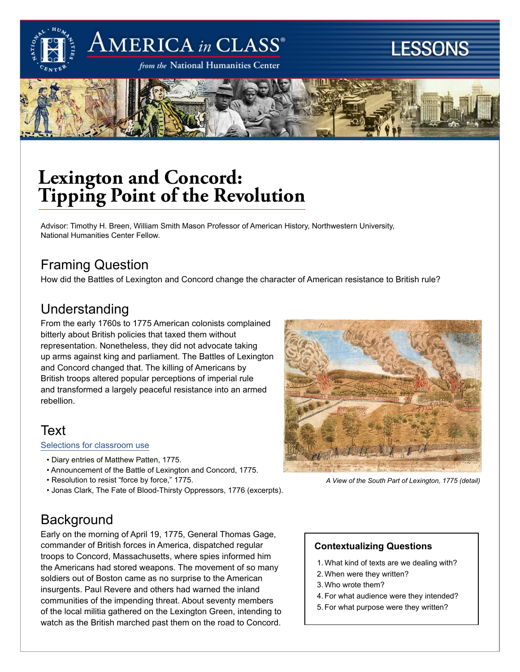

# $\rm AMERICA$  in  $\rm CLASS^{\circ}$

from the National Humanities Center

# **LESSONS**



## **Lexington and Concord: Tipping Point of the Revolution**

Advisor: Timothy H. Breen, William Smith Mason Professor of American History, Northwestern University, National Humanities Center Fellow.

## Framing Question

How did the Battles of Lexington and Concord change the character of American resistance to British rule?

### Understanding

From the early 1760s to 1775 American colonists complained bitterly about British policies that taxed them without representation. Nonetheless, they did not advocate taking up arms against king and parliament. The Battles of Lexington and Concord changed that. The killing of Americans by British troops altered popular perceptions of imperial rule and transformed a largely peaceful resistance into an armed rebellion.

## Text

#### [Selections for classroom use](http://americainclass.org/wp-content/uploads/2013/10/Readings-Lexington-and-Concord-Tipping-Point.pdf)

- Diary entries of Matthew Patten, 1775.
- Announcement of the Battle of Lexington and Concord, 1775.
- Resolution to resist "force by force," 1775.
- Jonas Clark, The Fate of Blood-Thirsty Oppressors, 1776 (excerpts).



*A View of the South Part of Lexington, 1775 (detail)*

## **Background**

Early on the morning of April 19, 1775, General Thomas Gage, commander of British forces in America, dispatched regular troops to Concord, Massachusetts, where spies informed him the Americans had stored weapons. The movement of so many soldiers out of Boston came as no surprise to the American insurgents. Paul Revere and others had warned the inland communities of the impending threat. About seventy members of the local militia gathered on the Lexington Green, intending to watch as the British marched past them on the road to Concord.

#### **Contextualizing Questions**

- 1. What kind of texts are we dealing with?
- 2. When were they written?
- 3. Who wrote them?
- 4. For what audience were they intended?
- 5. For what purpose were they written?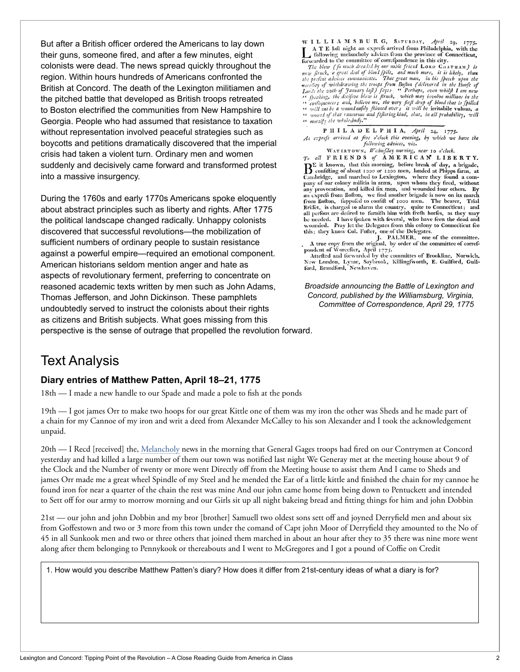But after a British officer ordered the Americans to lay down their guns, someone fired, and after a few minutes, eight colonists were dead. The news spread quickly throughout the region. Within hours hundreds of Americans confronted the British at Concord. The death of the Lexington militiamen and the pitched battle that developed as British troops retreated to Boston electrified the communities from New Hampshire to Georgia. People who had assumed that resistance to taxation without representation involved peaceful strategies such as boycotts and petitions dramatically discovered that the imperial crisis had taken a violent turn. Ordinary men and women suddenly and decisively came forward and transformed protest into a massive insurgency.

During the 1760s and early 1770s Americans spoke eloquently about abstract principles such as liberty and rights. After 1775 the political landscape changed radically. Unhappy colonists discovered that successful revolutions—the mobilization of sufficient numbers of ordinary people to sustain resistance against a powerful empire—required an emotional component. American historians seldom mention anger and hate as aspects of revolutionary ferment, preferring to concentrate on reasoned academic texts written by men such as John Adams, Thomas Jefferson, and John Dickinson. These pamphlets undoubtedly served to instruct the colonists about their rights as citizens and British subjects. What goes missing from this perspective is the sense of outrage that propelled the revolution forward.

WILLIAMSBURG, SATURDAY, April 29, 1775. A T E laft night an exprefs arrived from Philadelphia, with the  $A T E$  late mght an express arrived from Philadelphia, with the<br>comparison in the commuter of correspondence in this city. forwarded to the committee of correspondence in this city.

forwarded to the committee of correspondence in this city.<br>
The blow (fo much dreaded by our noble friend Lons CHATHAM) is<br>
now firmly, a great deal of blood fpile, and much more, it is likely, than<br>
the prefent advices c A strategy the decisive blow is firuck, which may involve millions in the<br>
confequences; and, believe me, the very firit drop of blood that is fpilled<br>
confluence of a wound early filled over; it will be irritabile vulnus

P H I L A D E L P H I A, April 24, 1775. An express arrived at five o'clock this evening, by which we have the following advices, viz.

WATERTOWN, Wednefday morning, near 10 o'clock.  $T_0$  all FRIENDS of AMERICAN LIBERTY. BE it known, that this morning, before break of day, a brigade, Confifting of about 1000 or 1200 men, landed at Phipps farm, at Cambridge, and narched to Lexington, where they found a com-<br>pany of our colony militia in arms, upon whom they fired, without any provocation, and killed fix men, and wounded four others. By an express from Bofton, we find another brigade is now on its march from Bofton, fuppofed to confift of 1000 men. The bearer, Trial Briffet, is charged to alarm the country, quite to Connecticut; and<br>all perfons are defired to furnifh him with frefh horfes, as they may be needed. I have fpoken with feveral, who have feen the dead and is a model. Pray let the Delegates from this colony to Connecticut fee<br>this; they know Col. Fofter, one of the Delegates.

Lins; they know Col. Folier, one of the committee.<br>
A true copy from the original, by order of the committee of corref-<br>
pondent of Worcefter, April 1775.<br>
Atteffed and forwarded by the committes of Brookline, Norwich,

New London, Lyme, Saybrook, Killingfworth, E. Guilford, Guilford, Brandford, Newhaven.

*Broadside announcing the Battle of Lexington and Concord, published by the Williamsburg, Virginia, Committee of Correspondence, April 29, 1775*

### Text Analysis

#### **Diary entries of Matthew Patten, April 18–21, 1775**

18th — I made a new handle to our Spade and made a pole to fish at the ponds

19th — I got james Orr to make two hoops for our great Kittle one of them was my iron the other was Sheds and he made part of a chain for my Cannoe of my iron and writ a deed from Alexander McCalley to his son Alexander and I took the acknowledgement unpaid.

20th — I Recd [received] the, Melancholy news in the morning that General Gages troops had fired on our Contrymen at Concord yesterday and had killed a large number of them our town was notified last night We Generay met at the meeting house about 9 of the Clock and the Number of twenty or more went Directly off from the Meeting house to assist them And I came to Sheds and james Orr made me a great wheel Spindle of my Steel and he mended the Ear of a little kittle and finished the chain for my cannoe he found iron for near a quarter of the chain the rest was mine And our john came home from being down to Pentuckett and intended to Sett off for our army to morrow morning and our Girls sit up all night bakeing bread and fitting things for him and john Dobbin

21st — our john and john Dobbin and my bror [brother] Samuell two oldest sons sett off and joyned Derryfield men and about six from Goffestown and two or 3 more from this town under the comand of Capt john Moor of Derryfield they amounted to the No of 45 in all Sunkook men and two or three others that joined them marched in about an hour after they to 35 there was nine more went along after them belonging to Pennykook or thereabouts and I went to McGregores and I got a pound of Coffie on Credit

1. How would you describe Matthew Patten's diary? How does it differ from 21st-century ideas of what a diary is for?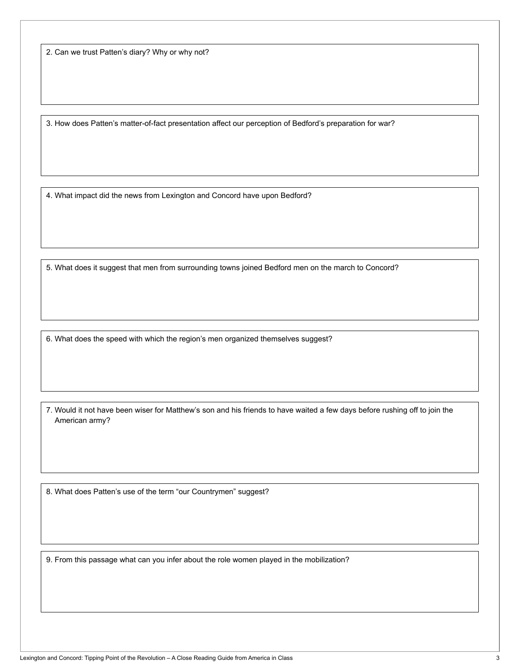2. Can we trust Patten's diary? Why or why not?

3. How does Patten's matter-of-fact presentation affect our perception of Bedford's preparation for war?

4. What impact did the news from Lexington and Concord have upon Bedford?

5. What does it suggest that men from surrounding towns joined Bedford men on the march to Concord?

6. What does the speed with which the region's men organized themselves suggest?

7. Would it not have been wiser for Matthew's son and his friends to have waited a few days before rushing off to join the American army?

8. What does Patten's use of the term "our Countrymen" suggest?

9. From this passage what can you infer about the role women played in the mobilization?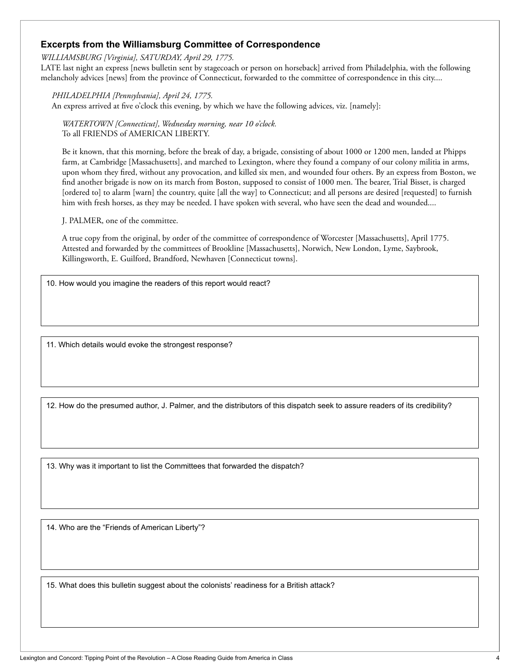#### **Excerpts from the Williamsburg Committee of Correspondence**

*WILLIAMSBURG [Virginia], SATURDAY, April 29, 1775.*

LATE last night an express [news bulletin sent by stagecoach or person on horseback] arrived from Philadelphia, with the following melancholy advices [news] from the province of Connecticut, forwarded to the committee of correspondence in this city....

*PHILADELPHIA [Pennsylvania], April 24, 1775.* An express arrived at five o'clock this evening, by which we have the following advices, viz. [namely]:

 *WATERTOWN [Connecticut], Wednesday morning, near 10 o'clock.* To all FRIENDS of AMERICAN LIBERTY.

 Be it known, that this morning, before the break of day, a brigade, consisting of about 1000 or 1200 men, landed at Phipps farm, at Cambridge [Massachusetts], and marched to Lexington, where they found a company of our colony militia in arms, upon whom they fired, without any provocation, and killed six men, and wounded four others. By an express from Boston, we find another brigade is now on its march from Boston, supposed to consist of 1000 men. The bearer, Trial Bisset, is charged [ordered to] to alarm [warn] the country, quite [all the way] to Connecticut; and all persons are desired [requested] to furnish him with fresh horses, as they may be needed. I have spoken with several, who have seen the dead and wounded....

J. PALMER, one of the committee.

 A true copy from the original, by order of the committee of correspondence of Worcester [Massachusetts], April 1775. Attested and forwarded by the committees of Brookline [Massachusetts], Norwich, New London, Lyme, Saybrook, Killingsworth, E. Guilford, Brandford, Newhaven [Connecticut towns].

10. How would you imagine the readers of this report would react?

11. Which details would evoke the strongest response?

12. How do the presumed author, J. Palmer, and the distributors of this dispatch seek to assure readers of its credibility?

13. Why was it important to list the Committees that forwarded the dispatch?

14. Who are the "Friends of American Liberty"?

15. What does this bulletin suggest about the colonists' readiness for a British attack?

Lexington and Concord: Tipping Point of the Revolution - A Close Reading Guide from America in Class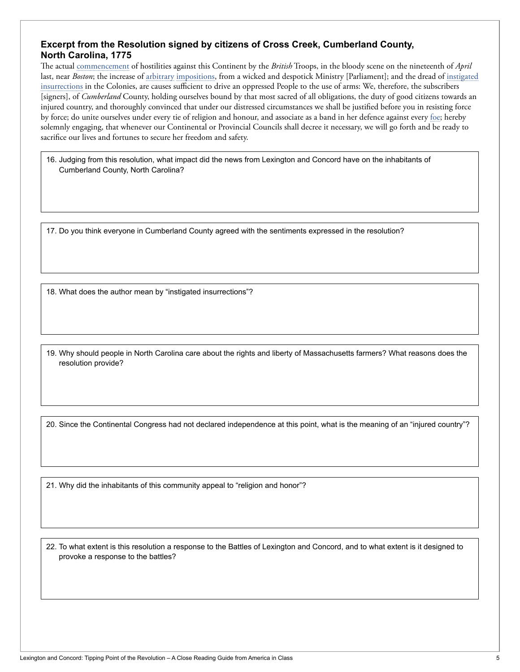#### **Excerpt from the Resolution signed by citizens of Cross Creek, Cumberland County, North Carolina, 1775**

The actual commencement of hostilities against this Continent by the *British* Troops, in the bloody scene on the nineteenth of *April* last, near *Boston*; the increase of arbitrary impositions, from a wicked and despotick Ministry [Parliament]; and the dread of instigated insurrections in the Colonies, are causes sufficient to drive an oppressed People to the use of arms: We, therefore, the subscribers [signers], of *Cumberland* County, holding ourselves bound by that most sacred of all obligations, the duty of good citizens towards an injured country, and thoroughly convinced that under our distressed circumstances we shall be justified before you in resisting force by force; do unite ourselves under every tie of religion and honour, and associate as a band in her defence against every foe; hereby solemnly engaging, that whenever our Continental or Provincial Councils shall decree it necessary, we will go forth and be ready to sacrifice our lives and fortunes to secure her freedom and safety.

16. Judging from this resolution, what impact did the news from Lexington and Concord have on the inhabitants of Cumberland County, North Carolina?

17. Do you think everyone in Cumberland County agreed with the sentiments expressed in the resolution?

18. What does the author mean by "instigated insurrections"?

19. Why should people in North Carolina care about the rights and liberty of Massachusetts farmers? What reasons does the resolution provide?

20. Since the Continental Congress had not declared independence at this point, what is the meaning of an "injured country"?

21. Why did the inhabitants of this community appeal to "religion and honor"?

22. To what extent is this resolution a response to the Battles of Lexington and Concord, and to what extent is it designed to provoke a response to the battles?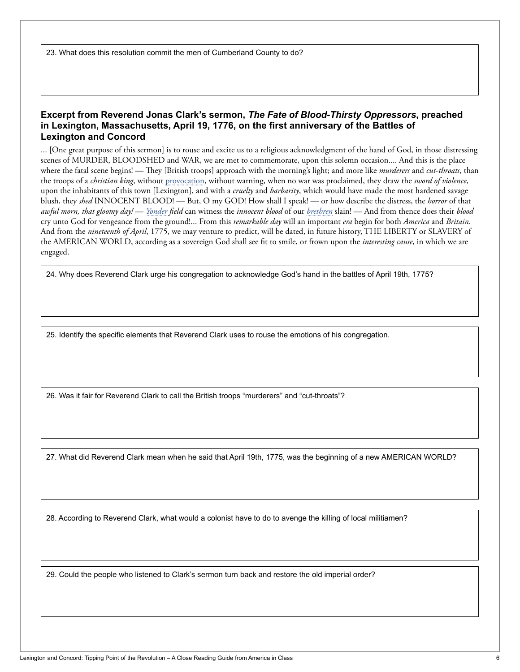23. What does this resolution commit the men of Cumberland County to do?

#### **Excerpt from Reverend Jonas Clark's sermon,** *The Fate of Blood-Thirsty Oppressors***, preached in Lexington, Massachusetts, April 19, 1776, on the first anniversary of the Battles of Lexington and Concord**

... [One great purpose of this sermon] is to rouse and excite us to a religious acknowledgment of the hand of God, in those distressing scenes of MURDER, BLOODSHED and WAR, we are met to commemorate, upon this solemn occasion.... And this is the place where the fatal scene begins! — They [British troops] approach with the morning's light; and more like *murderers* and *cut-throats*, than the troops of a *christian king*, without provocation, without warning, when no war was proclaimed, they draw the *sword of violence*, upon the inhabitants of this town [Lexington], and with a *cruelty* and *barbarity*, which would have made the most hardened savage blush, they *shed* INNOCENT BLOOD! — But, O my GOD! How shall I speak! — or how describe the distress, the *horror* of that *awful morn, that gloomy day!* — *Yonder field* can witness the *innocent blood* of our *brethren* slain! — And from thence does their *blood* cry unto God for vengeance from the ground!... From this *remarkable day* will an important *era* begin for both *America* and *Britain*. And from the *nineteenth of April*, 1775, we may venture to predict, will be dated, in future history, THE LIBERTY or SLAVERY of the AMERICAN WORLD, according as a sovereign God shall see fit to smile, or frown upon the *interesting cause*, in which we are engaged.

24. Why does Reverend Clark urge his congregation to acknowledge God's hand in the battles of April 19th, 1775?

25. Identify the specific elements that Reverend Clark uses to rouse the emotions of his congregation.

26. Was it fair for Reverend Clark to call the British troops "murderers" and "cut-throats"?

27. What did Reverend Clark mean when he said that April 19th, 1775, was the beginning of a new AMERICAN WORLD?

28. According to Reverend Clark, what would a colonist have to do to avenge the killing of local militiamen?

29. Could the people who listened to Clark's sermon turn back and restore the old imperial order?

ί,